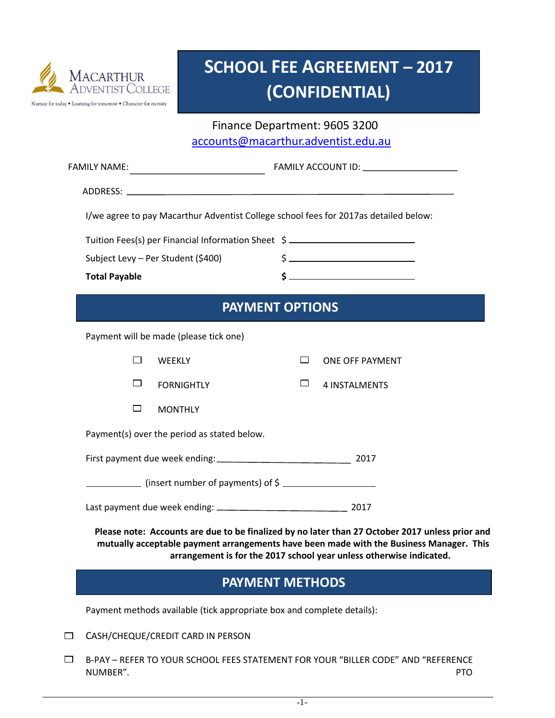

## **SCHOOL FEE AGREEMENT – 2017 (CONFIDENTIAL)**

 Finance Department: 9605 3200 [accounts@macarthur.adventist.edu.au](mailto:accounts@macarthur.adventist.edu.au)

| <b>FAMILY NAME:</b>                                                                  |                                                                                                                                                                                            |                        |                                                                     |  |  |  |
|--------------------------------------------------------------------------------------|--------------------------------------------------------------------------------------------------------------------------------------------------------------------------------------------|------------------------|---------------------------------------------------------------------|--|--|--|
|                                                                                      |                                                                                                                                                                                            |                        |                                                                     |  |  |  |
| I/we agree to pay Macarthur Adventist College school fees for 2017as detailed below: |                                                                                                                                                                                            |                        |                                                                     |  |  |  |
|                                                                                      | Tuition Fees(s) per Financial Information Sheet \$                                                                                                                                         |                        |                                                                     |  |  |  |
|                                                                                      | Subject Levy - Per Student (\$400)                                                                                                                                                         |                        |                                                                     |  |  |  |
|                                                                                      | <b>Total Payable</b>                                                                                                                                                                       |                        |                                                                     |  |  |  |
|                                                                                      |                                                                                                                                                                                            | <b>PAYMENT OPTIONS</b> |                                                                     |  |  |  |
|                                                                                      | Payment will be made (please tick one)                                                                                                                                                     |                        |                                                                     |  |  |  |
|                                                                                      | $\Box$<br>WEEKLY                                                                                                                                                                           | $\Box$                 | ONE OFF PAYMENT                                                     |  |  |  |
|                                                                                      | □<br><b>FORNIGHTLY</b>                                                                                                                                                                     | ப                      | <b>4 INSTALMENTS</b>                                                |  |  |  |
|                                                                                      | $\Box$<br><b>MONTHLY</b>                                                                                                                                                                   |                        |                                                                     |  |  |  |
|                                                                                      | Payment(s) over the period as stated below.                                                                                                                                                |                        |                                                                     |  |  |  |
|                                                                                      |                                                                                                                                                                                            |                        |                                                                     |  |  |  |
|                                                                                      | $\frac{1}{2}$ (insert number of payments) of \$                                                                                                                                            |                        |                                                                     |  |  |  |
|                                                                                      |                                                                                                                                                                                            |                        |                                                                     |  |  |  |
|                                                                                      | Please note: Accounts are due to be finalized by no later than 27 October 2017 unless prior and<br>mutually acceptable payment arrangements have been made with the Business Manager. This |                        | arrangement is for the 2017 school year unless otherwise indicated. |  |  |  |
|                                                                                      | <b>PAYMENT METHODS</b>                                                                                                                                                                     |                        |                                                                     |  |  |  |
|                                                                                      | Payment methods available (tick appropriate box and complete details):                                                                                                                     |                        |                                                                     |  |  |  |
| $\Box$                                                                               | CASH/CHEQUE/CREDIT CARD IN PERSON                                                                                                                                                          |                        |                                                                     |  |  |  |
| $\Box$                                                                               | B-PAY - REFER TO YOUR SCHOOL FEES STATEMENT FOR YOUR "BILLER CODE" AND "REFERENCE<br>NUMBER".                                                                                              |                        | <b>PTO</b>                                                          |  |  |  |